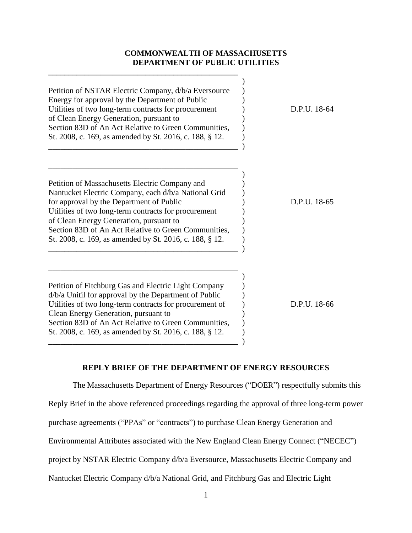## **COMMONWEALTH OF MASSACHUSETTS DEPARTMENT OF PUBLIC UTILITIES**

**\_\_\_\_\_\_\_\_\_\_\_\_\_\_\_\_\_\_\_\_\_\_\_\_\_\_\_\_\_\_\_\_\_\_\_\_\_\_\_\_\_\_\_\_\_\_\_**

| Petition of NSTAR Electric Company, d/b/a Eversource<br>Energy for approval by the Department of Public<br>Utilities of two long-term contracts for procurement<br>of Clean Energy Generation, pursuant to<br>Section 83D of An Act Relative to Green Communities,<br>St. 2008, c. 169, as amended by St. 2016, c. 188, § 12.                                            | D.P.U. 18-64 |
|--------------------------------------------------------------------------------------------------------------------------------------------------------------------------------------------------------------------------------------------------------------------------------------------------------------------------------------------------------------------------|--------------|
| Petition of Massachusetts Electric Company and<br>Nantucket Electric Company, each d/b/a National Grid<br>for approval by the Department of Public<br>Utilities of two long-term contracts for procurement<br>of Clean Energy Generation, pursuant to<br>Section 83D of An Act Relative to Green Communities,<br>St. 2008, c. 169, as amended by St. 2016, c. 188, § 12. | D.P.U. 18-65 |
| Petition of Fitchburg Gas and Electric Light Company<br>$d/b/a$ Unitil for approval by the Department of Public<br>Utilities of two long-term contracts for procurement of<br>Clean Energy Generation, pursuant to<br>Section 83D of An Act Relative to Green Communities,<br>St. 2008, c. 169, as amended by St. 2016, c. 188, § 12.                                    | D.P.U. 18-66 |

# **REPLY BRIEF OF THE DEPARTMENT OF ENERGY RESOURCES**

The Massachusetts Department of Energy Resources ("DOER") respectfully submits this Reply Brief in the above referenced proceedings regarding the approval of three long-term power purchase agreements ("PPAs" or "contracts") to purchase Clean Energy Generation and Environmental Attributes associated with the New England Clean Energy Connect ("NECEC") project by NSTAR Electric Company d/b/a Eversource, Massachusetts Electric Company and Nantucket Electric Company d/b/a National Grid, and Fitchburg Gas and Electric Light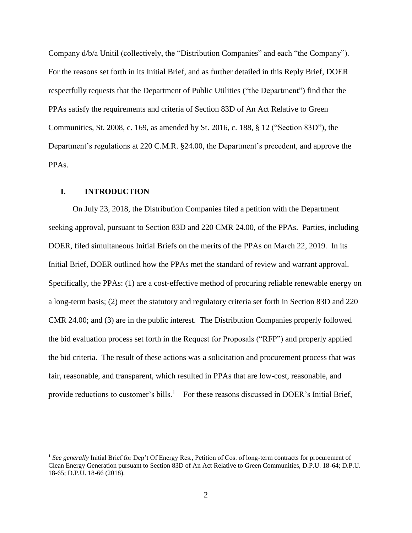Company d/b/a Unitil (collectively, the "Distribution Companies" and each "the Company"). For the reasons set forth in its Initial Brief, and as further detailed in this Reply Brief, DOER respectfully requests that the Department of Public Utilities ("the Department") find that the PPAs satisfy the requirements and criteria of Section 83D of An Act Relative to Green Communities, St. 2008, c. 169, as amended by St. 2016, c. 188, § 12 ("Section 83D"), the Department's regulations at 220 C.M.R. §24.00, the Department's precedent, and approve the PPAs.

### **I. INTRODUCTION**

 $\overline{a}$ 

On July 23, 2018, the Distribution Companies filed a petition with the Department seeking approval, pursuant to Section 83D and 220 CMR 24.00, of the PPAs. Parties, including DOER, filed simultaneous Initial Briefs on the merits of the PPAs on March 22, 2019. In its Initial Brief, DOER outlined how the PPAs met the standard of review and warrant approval. Specifically, the PPAs: (1) are a cost-effective method of procuring reliable renewable energy on a long-term basis; (2) meet the statutory and regulatory criteria set forth in Section 83D and 220 CMR 24.00; and (3) are in the public interest. The Distribution Companies properly followed the bid evaluation process set forth in the Request for Proposals ("RFP") and properly applied the bid criteria. The result of these actions was a solicitation and procurement process that was fair, reasonable, and transparent, which resulted in PPAs that are low-cost, reasonable, and provide reductions to customer's bills.<sup>1</sup> For these reasons discussed in DOER's Initial Brief,

<sup>&</sup>lt;sup>1</sup> See generally Initial Brief for Dep't Of Energy Res., Petition of Cos. of long-term contracts for procurement of Clean Energy Generation pursuant to Section 83D of An Act Relative to Green Communities, D.P.U. 18-64; D.P.U. 18-65; D.P.U. 18-66 (2018).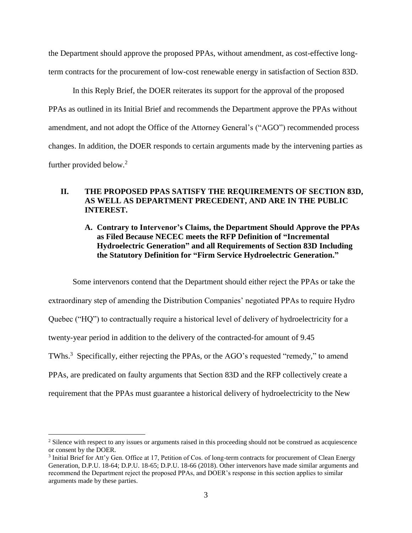the Department should approve the proposed PPAs, without amendment, as cost-effective longterm contracts for the procurement of low-cost renewable energy in satisfaction of Section 83D.

In this Reply Brief, the DOER reiterates its support for the approval of the proposed PPAs as outlined in its Initial Brief and recommends the Department approve the PPAs without amendment, and not adopt the Office of the Attorney General's ("AGO") recommended process changes. In addition, the DOER responds to certain arguments made by the intervening parties as further provided below.<sup>2</sup>

## **II. THE PROPOSED PPAS SATISFY THE REQUIREMENTS OF SECTION 83D, AS WELL AS DEPARTMENT PRECEDENT, AND ARE IN THE PUBLIC INTEREST.**

**A. Contrary to Intervenor's Claims, the Department Should Approve the PPAs as Filed Because NECEC meets the RFP Definition of "Incremental Hydroelectric Generation" and all Requirements of Section 83D Including the Statutory Definition for "Firm Service Hydroelectric Generation."**

Some intervenors contend that the Department should either reject the PPAs or take the extraordinary step of amending the Distribution Companies' negotiated PPAs to require Hydro Quebec ("HQ") to contractually require a historical level of delivery of hydroelectricity for a twenty-year period in addition to the delivery of the contracted-for amount of 9.45 TWhs.<sup>3</sup> Specifically, either rejecting the PPAs, or the AGO's requested "remedy," to amend PPAs, are predicated on faulty arguments that Section 83D and the RFP collectively create a requirement that the PPAs must guarantee a historical delivery of hydroelectricity to the New

<sup>&</sup>lt;sup>2</sup> Silence with respect to any issues or arguments raised in this proceeding should not be construed as acquiescence or consent by the DOER.

<sup>&</sup>lt;sup>3</sup> Initial Brief for Att'y Gen. Office at 17, Petition of Cos. of long-term contracts for procurement of Clean Energy Generation, D.P.U. 18-64; D.P.U. 18-65; D.P.U. 18-66 (2018). Other intervenors have made similar arguments and recommend the Department reject the proposed PPAs, and DOER's response in this section applies to similar arguments made by these parties.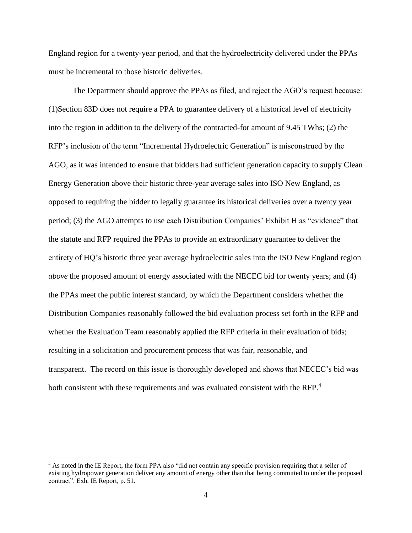England region for a twenty-year period, and that the hydroelectricity delivered under the PPAs must be incremental to those historic deliveries.

The Department should approve the PPAs as filed, and reject the AGO's request because: (1)Section 83D does not require a PPA to guarantee delivery of a historical level of electricity into the region in addition to the delivery of the contracted-for amount of 9.45 TWhs; (2) the RFP's inclusion of the term "Incremental Hydroelectric Generation" is misconstrued by the AGO, as it was intended to ensure that bidders had sufficient generation capacity to supply Clean Energy Generation above their historic three-year average sales into ISO New England, as opposed to requiring the bidder to legally guarantee its historical deliveries over a twenty year period; (3) the AGO attempts to use each Distribution Companies' Exhibit H as "evidence" that the statute and RFP required the PPAs to provide an extraordinary guarantee to deliver the entirety of HQ's historic three year average hydroelectric sales into the ISO New England region *above* the proposed amount of energy associated with the NECEC bid for twenty years; and (4) the PPAs meet the public interest standard, by which the Department considers whether the Distribution Companies reasonably followed the bid evaluation process set forth in the RFP and whether the Evaluation Team reasonably applied the RFP criteria in their evaluation of bids; resulting in a solicitation and procurement process that was fair, reasonable, and transparent. The record on this issue is thoroughly developed and shows that NECEC's bid was both consistent with these requirements and was evaluated consistent with the RFP.<sup>4</sup>

<sup>4</sup> As noted in the IE Report, the form PPA also "did not contain any specific provision requiring that a seller of existing hydropower generation deliver any amount of energy other than that being committed to under the proposed contract". Exh. IE Report, p. 51.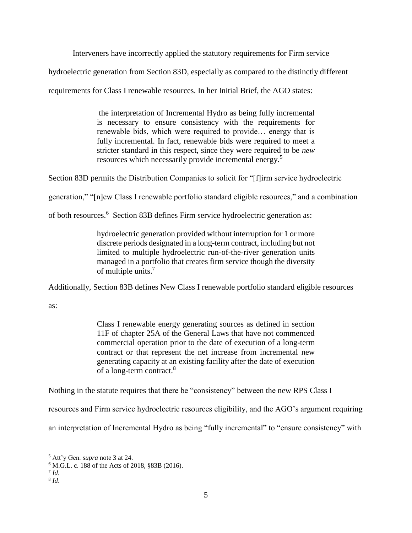Interveners have incorrectly applied the statutory requirements for Firm service

hydroelectric generation from Section 83D, especially as compared to the distinctly different

requirements for Class I renewable resources. In her Initial Brief, the AGO states:

the interpretation of Incremental Hydro as being fully incremental is necessary to ensure consistency with the requirements for renewable bids, which were required to provide… energy that is fully incremental. In fact, renewable bids were required to meet a stricter standard in this respect, since they were required to be *new*  resources which necessarily provide incremental energy.<sup>5</sup>

Section 83D permits the Distribution Companies to solicit for "[f]irm service hydroelectric

generation," "[n]ew Class I renewable portfolio standard eligible resources," and a combination

of both resources.<sup>6</sup> Section 83B defines Firm service hydroelectric generation as:

hydroelectric generation provided without interruption for 1 or more discrete periods designated in a long-term contract, including but not limited to multiple hydroelectric run-of-the-river generation units managed in a portfolio that creates firm service though the diversity of multiple units.<sup>7</sup>

Additionally, Section 83B defines New Class I renewable portfolio standard eligible resources

as:

Class I renewable energy generating sources as defined in section 11F of chapter 25A of the General Laws that have not commenced commercial operation prior to the date of execution of a long-term contract or that represent the net increase from incremental new generating capacity at an existing facility after the date of execution of a long-term contract.<sup>8</sup>

Nothing in the statute requires that there be "consistency" between the new RPS Class I

resources and Firm service hydroelectric resources eligibility, and the AGO's argument requiring

an interpretation of Incremental Hydro as being "fully incremental" to "ensure consistency" with

<sup>5</sup> Att'y Gen. *supra* note 3 at 24.

<sup>6</sup> M.G.L. c. 188 of the Acts of 2018, §83B (2016).

<sup>7</sup> *Id*.

<sup>8</sup> *Id*.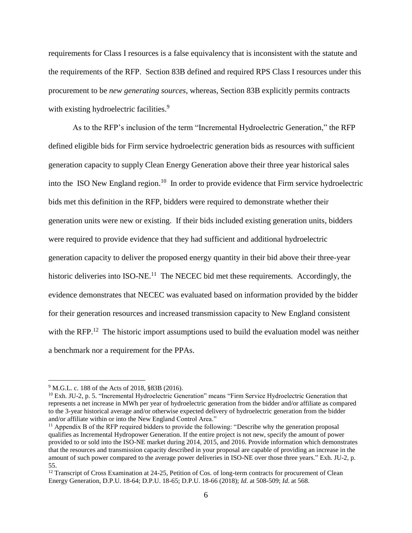requirements for Class I resources is a false equivalency that is inconsistent with the statute and the requirements of the RFP. Section 83B defined and required RPS Class I resources under this procurement to be *new generating sources*, whereas, Section 83B explicitly permits contracts with existing hydroelectric facilities.<sup>9</sup>

As to the RFP's inclusion of the term "Incremental Hydroelectric Generation," the RFP defined eligible bids for Firm service hydroelectric generation bids as resources with sufficient generation capacity to supply Clean Energy Generation above their three year historical sales into the ISO New England region. <sup>10</sup> In order to provide evidence that Firm service hydroelectric bids met this definition in the RFP, bidders were required to demonstrate whether their generation units were new or existing. If their bids included existing generation units, bidders were required to provide evidence that they had sufficient and additional hydroelectric generation capacity to deliver the proposed energy quantity in their bid above their three-year historic deliveries into ISO-NE.<sup>11</sup> The NECEC bid met these requirements. Accordingly, the evidence demonstrates that NECEC was evaluated based on information provided by the bidder for their generation resources and increased transmission capacity to New England consistent with the RFP.<sup>12</sup> The historic import assumptions used to build the evaluation model was neither a benchmark nor a requirement for the PPAs.

<sup>9</sup> M.G.L. c. 188 of the Acts of 2018, §83B (2016).

<sup>10</sup> Exh. JU-2, p. 5. "Incremental Hydroelectric Generation" means "Firm Service Hydroelectric Generation that represents a net increase in MWh per year of hydroelectric generation from the bidder and/or affiliate as compared to the 3-year historical average and/or otherwise expected delivery of hydroelectric generation from the bidder and/or affiliate within or into the New England Control Area."

<sup>&</sup>lt;sup>11</sup> Appendix B of the RFP required bidders to provide the following: "Describe why the generation proposal qualifies as Incremental Hydropower Generation. If the entire project is not new, specify the amount of power provided to or sold into the ISO-NE market during 2014, 2015, and 2016. Provide information which demonstrates that the resources and transmission capacity described in your proposal are capable of providing an increase in the amount of such power compared to the average power deliveries in ISO-NE over those three years." Exh. JU-2, p. 55.

<sup>&</sup>lt;sup>12</sup> Transcript of Cross Examination at 24-25, Petition of Cos. of long-term contracts for procurement of Clean Energy Generation, D.P.U. 18-64; D.P.U. 18-65; D.P.U. 18-66 (2018); *Id*. at 508-509; *Id*. at 568.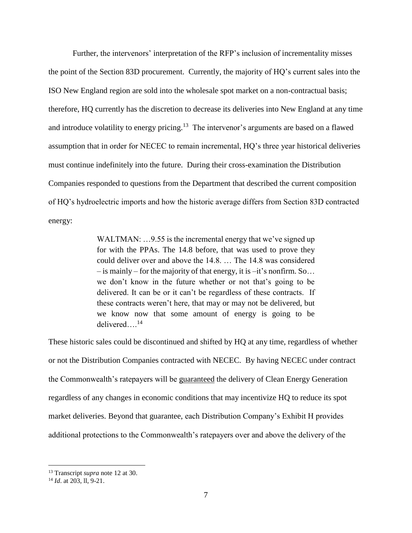Further, the intervenors' interpretation of the RFP's inclusion of incrementality misses the point of the Section 83D procurement. Currently, the majority of HQ's current sales into the ISO New England region are sold into the wholesale spot market on a non-contractual basis; therefore, HQ currently has the discretion to decrease its deliveries into New England at any time and introduce volatility to energy pricing.<sup>13</sup> The intervenor's arguments are based on a flawed assumption that in order for NECEC to remain incremental, HQ's three year historical deliveries must continue indefinitely into the future. During their cross-examination the Distribution Companies responded to questions from the Department that described the current composition of HQ's hydroelectric imports and how the historic average differs from Section 83D contracted energy:

> WALTMAN: ...9.55 is the incremental energy that we've signed up for with the PPAs. The 14.8 before, that was used to prove they could deliver over and above the 14.8. … The 14.8 was considered  $-$  is mainly – for the majority of that energy, it is  $-$ it's nonfirm. So... we don't know in the future whether or not that's going to be delivered. It can be or it can't be regardless of these contracts. If these contracts weren't here, that may or may not be delivered, but we know now that some amount of energy is going to be delivered... $^{14}$

These historic sales could be discontinued and shifted by HQ at any time, regardless of whether or not the Distribution Companies contracted with NECEC. By having NECEC under contract the Commonwealth's ratepayers will be guaranteed the delivery of Clean Energy Generation regardless of any changes in economic conditions that may incentivize HQ to reduce its spot market deliveries. Beyond that guarantee, each Distribution Company's Exhibit H provides additional protections to the Commonwealth's ratepayers over and above the delivery of the

<sup>13</sup> Transcript *supra* note 12 at 30.

<sup>14</sup> *Id*. at 203, ll, 9-21.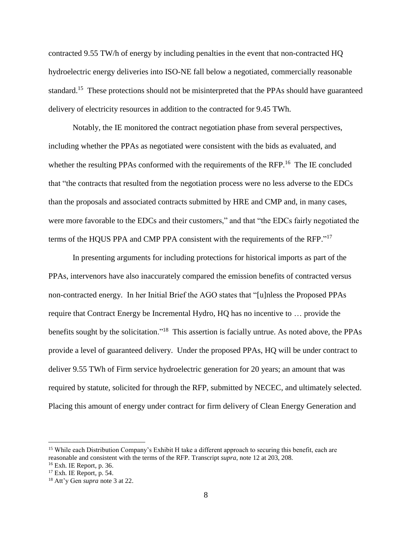contracted 9.55 TW/h of energy by including penalties in the event that non-contracted HQ hydroelectric energy deliveries into ISO-NE fall below a negotiated, commercially reasonable standard.<sup>15</sup> These protections should not be misinterpreted that the PPAs should have guaranteed delivery of electricity resources in addition to the contracted for 9.45 TWh.

Notably, the IE monitored the contract negotiation phase from several perspectives, including whether the PPAs as negotiated were consistent with the bids as evaluated, and whether the resulting PPAs conformed with the requirements of the RFP.<sup>16</sup> The IE concluded that "the contracts that resulted from the negotiation process were no less adverse to the EDCs than the proposals and associated contracts submitted by HRE and CMP and, in many cases, were more favorable to the EDCs and their customers," and that "the EDCs fairly negotiated the terms of the HQUS PPA and CMP PPA consistent with the requirements of the RFP."<sup>17</sup>

In presenting arguments for including protections for historical imports as part of the PPAs, intervenors have also inaccurately compared the emission benefits of contracted versus non-contracted energy. In her Initial Brief the AGO states that "[u]nless the Proposed PPAs require that Contract Energy be Incremental Hydro, HQ has no incentive to … provide the benefits sought by the solicitation."<sup>18</sup> This assertion is facially untrue. As noted above, the PPAs provide a level of guaranteed delivery. Under the proposed PPAs, HQ will be under contract to deliver 9.55 TWh of Firm service hydroelectric generation for 20 years; an amount that was required by statute, solicited for through the RFP, submitted by NECEC, and ultimately selected. Placing this amount of energy under contract for firm delivery of Clean Energy Generation and

<sup>&</sup>lt;sup>15</sup> While each Distribution Company's Exhibit H take a different approach to securing this benefit, each are reasonable and consistent with the terms of the RFP. Transcript *supra*, note 12 at 203, 208. <sup>16</sup> Exh. IE Report, p. 36.

 $17$  Exh. IE Report, p. 54.

<sup>18</sup> Att'y Gen *supra* note 3 at 22.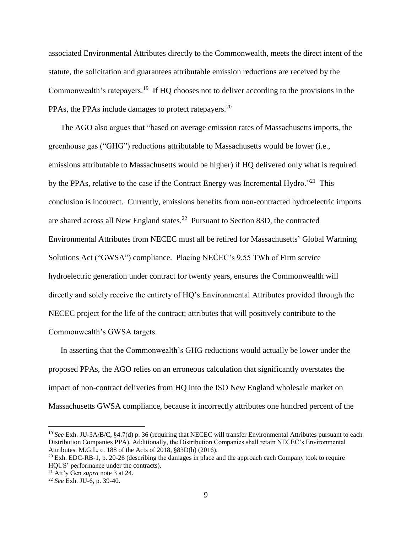associated Environmental Attributes directly to the Commonwealth, meets the direct intent of the statute, the solicitation and guarantees attributable emission reductions are received by the Commonwealth's ratepayers.<sup>19</sup> If HQ chooses not to deliver according to the provisions in the PPAs, the PPAs include damages to protect ratepayers.<sup>20</sup>

The AGO also argues that "based on average emission rates of Massachusetts imports, the greenhouse gas ("GHG") reductions attributable to Massachusetts would be lower (i.e., emissions attributable to Massachusetts would be higher) if HQ delivered only what is required by the PPAs, relative to the case if the Contract Energy was Incremental Hydro."<sup>21</sup> This conclusion is incorrect. Currently, emissions benefits from non-contracted hydroelectric imports are shared across all New England states.<sup>22</sup> Pursuant to Section 83D, the contracted Environmental Attributes from NECEC must all be retired for Massachusetts' Global Warming Solutions Act ("GWSA") compliance. Placing NECEC's 9.55 TWh of Firm service hydroelectric generation under contract for twenty years, ensures the Commonwealth will directly and solely receive the entirety of HQ's Environmental Attributes provided through the NECEC project for the life of the contract; attributes that will positively contribute to the Commonwealth's GWSA targets.

In asserting that the Commonwealth's GHG reductions would actually be lower under the proposed PPAs, the AGO relies on an erroneous calculation that significantly overstates the impact of non-contract deliveries from HQ into the ISO New England wholesale market on Massachusetts GWSA compliance, because it incorrectly attributes one hundred percent of the

<sup>19</sup> *See* Exh. JU-3A/B/C, §4.7(d) p. 36 (requiring that NECEC will transfer Environmental Attributes pursuant to each Distribution Companies PPA). Additionally, the Distribution Companies shall retain NECEC's Environmental Attributes. M.G.L. c. 188 of the Acts of 2018, §83D(h) (2016).

 $20$  Exh. EDC-RB-1, p. 20-26 (describing the damages in place and the approach each Company took to require HQUS' performance under the contracts).

<sup>21</sup> Att'y Gen *supra* note 3 at 24.

<sup>22</sup> *See* Exh. JU-6, p. 39-40.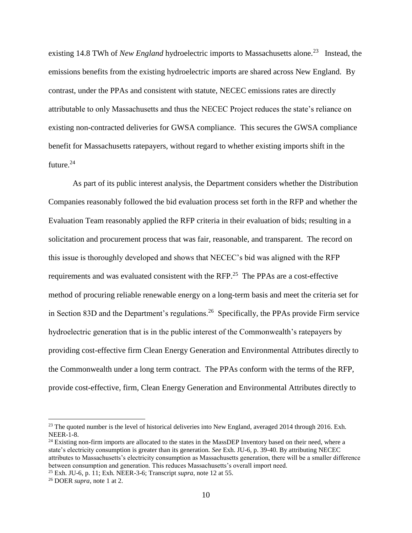existing 14.8 TWh of *New England* hydroelectric imports to Massachusetts alone.<sup>23</sup> Instead, the emissions benefits from the existing hydroelectric imports are shared across New England. By contrast, under the PPAs and consistent with statute, NECEC emissions rates are directly attributable to only Massachusetts and thus the NECEC Project reduces the state's reliance on existing non-contracted deliveries for GWSA compliance. This secures the GWSA compliance benefit for Massachusetts ratepayers, without regard to whether existing imports shift in the future.<sup>24</sup>

As part of its public interest analysis, the Department considers whether the Distribution Companies reasonably followed the bid evaluation process set forth in the RFP and whether the Evaluation Team reasonably applied the RFP criteria in their evaluation of bids; resulting in a solicitation and procurement process that was fair, reasonable, and transparent. The record on this issue is thoroughly developed and shows that NECEC's bid was aligned with the RFP requirements and was evaluated consistent with the RFP.<sup>25</sup> The PPAs are a cost-effective method of procuring reliable renewable energy on a long-term basis and meet the criteria set for in Section 83D and the Department's regulations.<sup>26</sup> Specifically, the PPAs provide Firm service hydroelectric generation that is in the public interest of the Commonwealth's ratepayers by providing cost-effective firm Clean Energy Generation and Environmental Attributes directly to the Commonwealth under a long term contract. The PPAs conform with the terms of the RFP, provide cost-effective, firm, Clean Energy Generation and Environmental Attributes directly to

<sup>&</sup>lt;sup>23</sup> The quoted number is the level of historical deliveries into New England, averaged 2014 through 2016. Exh. NEER-1-8.

<sup>&</sup>lt;sup>24</sup> Existing non-firm imports are allocated to the states in the MassDEP Inventory based on their need, where a state's electricity consumption is greater than its generation. *See* Exh. JU-6, p. 39-40. By attributing NECEC attributes to Massachusetts's electricity consumption as Massachusetts generation, there will be a smaller difference between consumption and generation. This reduces Massachusetts's overall import need.

<sup>25</sup> Exh. JU-6, p. 11; Exh. NEER-3-6; Transcript *supra*, note 12 at 55.

<sup>26</sup> DOER *supra*, note 1 at 2.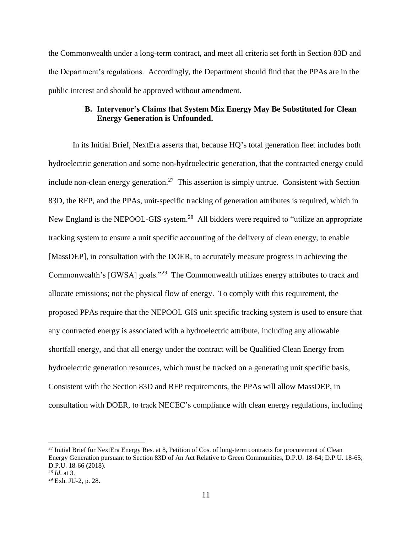the Commonwealth under a long-term contract, and meet all criteria set forth in Section 83D and the Department's regulations. Accordingly, the Department should find that the PPAs are in the public interest and should be approved without amendment.

## **B. Intervenor's Claims that System Mix Energy May Be Substituted for Clean Energy Generation is Unfounded.**

In its Initial Brief, NextEra asserts that, because HQ's total generation fleet includes both hydroelectric generation and some non-hydroelectric generation, that the contracted energy could include non-clean energy generation.<sup>27</sup> This assertion is simply untrue. Consistent with Section 83D, the RFP, and the PPAs, unit-specific tracking of generation attributes is required, which in New England is the NEPOOL-GIS system.<sup>28</sup> All bidders were required to "utilize an appropriate tracking system to ensure a unit specific accounting of the delivery of clean energy, to enable [MassDEP], in consultation with the DOER, to accurately measure progress in achieving the Commonwealth's [GWSA] goals."<sup>29</sup> The Commonwealth utilizes energy attributes to track and allocate emissions; not the physical flow of energy. To comply with this requirement, the proposed PPAs require that the NEPOOL GIS unit specific tracking system is used to ensure that any contracted energy is associated with a hydroelectric attribute, including any allowable shortfall energy, and that all energy under the contract will be Qualified Clean Energy from hydroelectric generation resources, which must be tracked on a generating unit specific basis, Consistent with the Section 83D and RFP requirements, the PPAs will allow MassDEP, in consultation with DOER, to track NECEC's compliance with clean energy regulations, including

<sup>&</sup>lt;sup>27</sup> Initial Brief for NextEra Energy Res. at 8, Petition of Cos. of long-term contracts for procurement of Clean Energy Generation pursuant to Section 83D of An Act Relative to Green Communities, D.P.U. 18-64; D.P.U. 18-65; D.P.U. 18-66 (2018). <sup>28</sup> *Id*. at 3.

<sup>29</sup> Exh. JU-2, p. 28.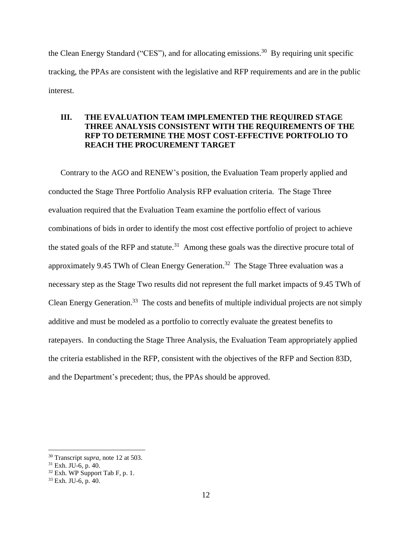the Clean Energy Standard ("CES"), and for allocating emissions.<sup>30</sup> By requiring unit specific tracking, the PPAs are consistent with the legislative and RFP requirements and are in the public interest.

## **III. THE EVALUATION TEAM IMPLEMENTED THE REQUIRED STAGE THREE ANALYSIS CONSISTENT WITH THE REQUIREMENTS OF THE RFP TO DETERMINE THE MOST COST-EFFECTIVE PORTFOLIO TO REACH THE PROCUREMENT TARGET**

Contrary to the AGO and RENEW's position, the Evaluation Team properly applied and conducted the Stage Three Portfolio Analysis RFP evaluation criteria. The Stage Three evaluation required that the Evaluation Team examine the portfolio effect of various combinations of bids in order to identify the most cost effective portfolio of project to achieve the stated goals of the RFP and statute.<sup>31</sup> Among these goals was the directive procure total of approximately 9.45 TWh of Clean Energy Generation.<sup>32</sup> The Stage Three evaluation was a necessary step as the Stage Two results did not represent the full market impacts of 9.45 TWh of Clean Energy Generation.<sup>33</sup> The costs and benefits of multiple individual projects are not simply additive and must be modeled as a portfolio to correctly evaluate the greatest benefits to ratepayers. In conducting the Stage Three Analysis, the Evaluation Team appropriately applied the criteria established in the RFP, consistent with the objectives of the RFP and Section 83D, and the Department's precedent; thus, the PPAs should be approved.

<sup>30</sup> Transcript *supra*, note 12 at 503.

 $31$  Exh. JU-6, p. 40.

 $32$  Exh. WP Support Tab F, p. 1.

 $33$  Exh. JU-6, p. 40.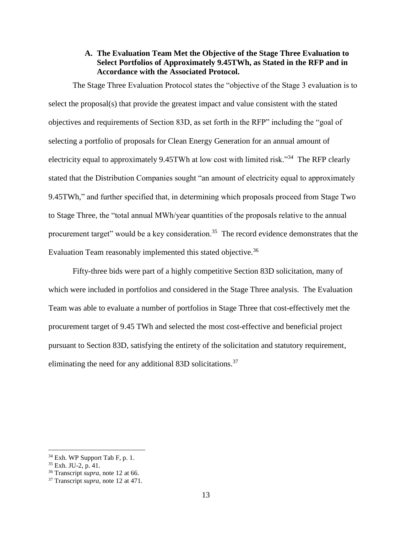### **A. The Evaluation Team Met the Objective of the Stage Three Evaluation to Select Portfolios of Approximately 9.45TWh, as Stated in the RFP and in Accordance with the Associated Protocol.**

The Stage Three Evaluation Protocol states the "objective of the Stage 3 evaluation is to select the proposal(s) that provide the greatest impact and value consistent with the stated objectives and requirements of Section 83D, as set forth in the RFP" including the "goal of selecting a portfolio of proposals for Clean Energy Generation for an annual amount of electricity equal to approximately 9.45TWh at low cost with limited risk."<sup>34</sup> The RFP clearly stated that the Distribution Companies sought "an amount of electricity equal to approximately 9.45TWh," and further specified that, in determining which proposals proceed from Stage Two to Stage Three, the "total annual MWh/year quantities of the proposals relative to the annual procurement target" would be a key consideration.<sup>35</sup> The record evidence demonstrates that the Evaluation Team reasonably implemented this stated objective.<sup>36</sup>

Fifty-three bids were part of a highly competitive Section 83D solicitation, many of which were included in portfolios and considered in the Stage Three analysis. The Evaluation Team was able to evaluate a number of portfolios in Stage Three that cost-effectively met the procurement target of 9.45 TWh and selected the most cost-effective and beneficial project pursuant to Section 83D, satisfying the entirety of the solicitation and statutory requirement, eliminating the need for any additional 83D solicitations.<sup>37</sup>

 $34$  Exh. WP Support Tab F, p. 1.

<sup>35</sup> Exh. JU-2, p. 41.

<sup>36</sup> Transcript *supra*, note 12 at 66.

<sup>37</sup> Transcript *supra*, note 12 at 471.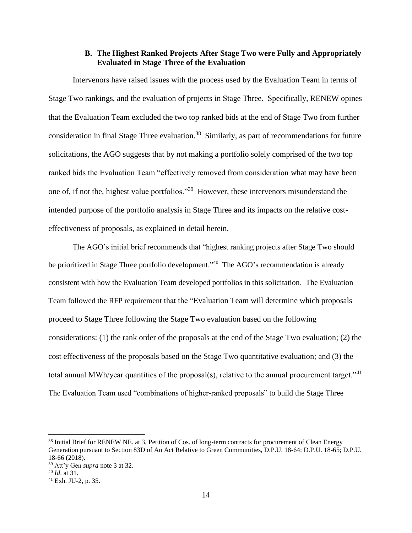### **B. The Highest Ranked Projects After Stage Two were Fully and Appropriately Evaluated in Stage Three of the Evaluation**

Intervenors have raised issues with the process used by the Evaluation Team in terms of Stage Two rankings, and the evaluation of projects in Stage Three. Specifically, RENEW opines that the Evaluation Team excluded the two top ranked bids at the end of Stage Two from further consideration in final Stage Three evaluation.<sup>38</sup> Similarly, as part of recommendations for future solicitations, the AGO suggests that by not making a portfolio solely comprised of the two top ranked bids the Evaluation Team "effectively removed from consideration what may have been one of, if not the, highest value portfolios."<sup>39</sup> However, these intervenors misunderstand the intended purpose of the portfolio analysis in Stage Three and its impacts on the relative costeffectiveness of proposals, as explained in detail herein.

The AGO's initial brief recommends that "highest ranking projects after Stage Two should be prioritized in Stage Three portfolio development."<sup>40</sup> The AGO's recommendation is already consistent with how the Evaluation Team developed portfolios in this solicitation. The Evaluation Team followed the RFP requirement that the "Evaluation Team will determine which proposals proceed to Stage Three following the Stage Two evaluation based on the following considerations: (1) the rank order of the proposals at the end of the Stage Two evaluation; (2) the cost effectiveness of the proposals based on the Stage Two quantitative evaluation; and (3) the total annual MWh/year quantities of the proposal(s), relative to the annual procurement target."<sup>41</sup> The Evaluation Team used "combinations of higher-ranked proposals" to build the Stage Three

<sup>38</sup> Initial Brief for RENEW NE. at 3, Petition of Cos. of long-term contracts for procurement of Clean Energy Generation pursuant to Section 83D of An Act Relative to Green Communities, D.P.U. 18-64; D.P.U. 18-65; D.P.U. 18-66 (2018).

<sup>39</sup> Att'y Gen *supra* note 3 at 32.

<sup>40</sup> *Id*. at 31.

<sup>41</sup> Exh. JU-2, p. 35.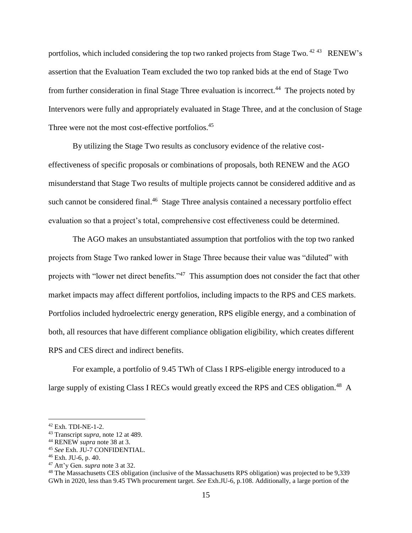portfolios, which included considering the top two ranked projects from Stage Two. <sup>42 43</sup> RENEW's assertion that the Evaluation Team excluded the two top ranked bids at the end of Stage Two from further consideration in final Stage Three evaluation is incorrect.<sup>44</sup> The projects noted by Intervenors were fully and appropriately evaluated in Stage Three, and at the conclusion of Stage Three were not the most cost-effective portfolios.<sup>45</sup>

By utilizing the Stage Two results as conclusory evidence of the relative costeffectiveness of specific proposals or combinations of proposals, both RENEW and the AGO misunderstand that Stage Two results of multiple projects cannot be considered additive and as such cannot be considered final.<sup>46</sup> Stage Three analysis contained a necessary portfolio effect evaluation so that a project's total, comprehensive cost effectiveness could be determined.

The AGO makes an unsubstantiated assumption that portfolios with the top two ranked projects from Stage Two ranked lower in Stage Three because their value was "diluted" with projects with "lower net direct benefits."<sup>47</sup> This assumption does not consider the fact that other market impacts may affect different portfolios, including impacts to the RPS and CES markets. Portfolios included hydroelectric energy generation, RPS eligible energy, and a combination of both, all resources that have different compliance obligation eligibility, which creates different RPS and CES direct and indirect benefits.

For example, a portfolio of 9.45 TWh of Class I RPS-eligible energy introduced to a large supply of existing Class I RECs would greatly exceed the RPS and CES obligation.<sup>48</sup> A

<sup>42</sup> Exh. TDI-NE-1-2.

<sup>43</sup> Transcript *supra*, note 12 at 489.

<sup>44</sup> RENEW *supra* note 38 at 3.

<sup>45</sup> *See* Exh. JU-7 CONFIDENTIAL.

 $46$  Exh. JU-6, p. 40.

<sup>47</sup> Att'y Gen. *supra* note 3 at 32.

<sup>&</sup>lt;sup>48</sup> The Massachusetts CES obligation (inclusive of the Massachusetts RPS obligation) was projected to be 9,339 GWh in 2020, less than 9.45 TWh procurement target. *See* Exh.JU-6, p.108. Additionally, a large portion of the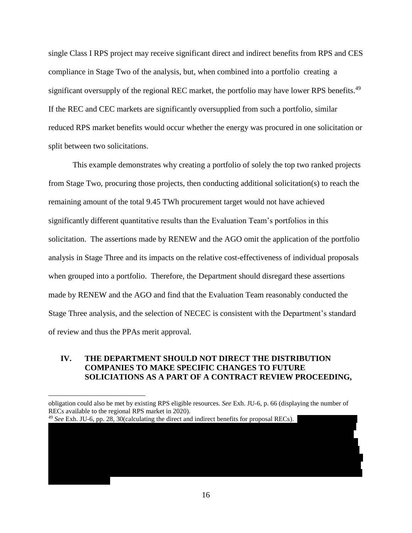single Class I RPS project may receive significant direct and indirect benefits from RPS and CES compliance in Stage Two of the analysis, but, when combined into a portfolio creating a significant oversupply of the regional REC market, the portfolio may have lower RPS benefits.<sup>49</sup> If the REC and CEC markets are significantly oversupplied from such a portfolio, similar reduced RPS market benefits would occur whether the energy was procured in one solicitation or split between two solicitations.

This example demonstrates why creating a portfolio of solely the top two ranked projects from Stage Two, procuring those projects, then conducting additional solicitation(s) to reach the remaining amount of the total 9.45 TWh procurement target would not have achieved significantly different quantitative results than the Evaluation Team's portfolios in this solicitation. The assertions made by RENEW and the AGO omit the application of the portfolio analysis in Stage Three and its impacts on the relative cost-effectiveness of individual proposals when grouped into a portfolio. Therefore, the Department should disregard these assertions made by RENEW and the AGO and find that the Evaluation Team reasonably conducted the Stage Three analysis, and the selection of NECEC is consistent with the Department's standard of review and thus the PPAs merit approval.

## **IV. THE DEPARTMENT SHOULD NOT DIRECT THE DISTRIBUTION COMPANIES TO MAKE SPECIFIC CHANGES TO FUTURE SOLICIATIONS AS A PART OF A CONTRACT REVIEW PROCEEDING,**

the two projects noted by intervenors, MCPC3 and GSPLII, were included in three separate portfolios in the Stage Three Analysis – Portfolio 2, 4, and 13. These projects were combined cost-effective Stage Two projects to make portfolios between 8.3 and 9.5 TWh. These portfolios are inclusive of the best performing large and small projects from Stage Two. The best performing portfolio, Portfolio 13, received significantly lower benefits for the impact of changes to the price for Class I RECs/CECs, because this portfolio significantly oversupplies the Massachusetts RPS and CES obligations. Additionally, this portfolio received lower benefits for the value of the proposal's contribution  $t$ oward meeting GWSA over and above compliance with the RPS and CES pursuant to  $R$ 

<sup>49</sup> See Exh. JU-6, pp. 28, 30(calculating the direct and indirect benefits for proposal RECs).

 $\overline{a}$ 

16

obligation could also be met by existing RPS eligible resources. *See* Exh. JU-6, p. 66 (displaying the number of RECs available to the regional RPS market in 2020).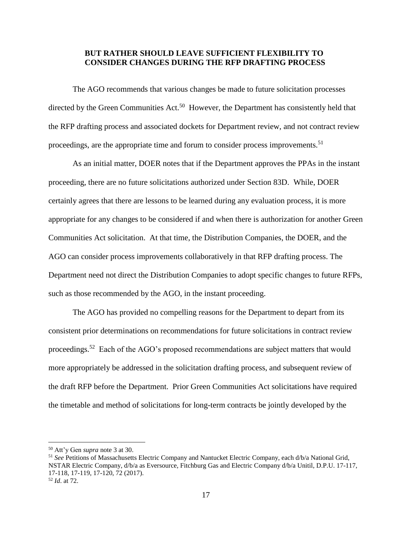### **BUT RATHER SHOULD LEAVE SUFFICIENT FLEXIBILITY TO CONSIDER CHANGES DURING THE RFP DRAFTING PROCESS**

The AGO recommends that various changes be made to future solicitation processes directed by the Green Communities Act.<sup>50</sup> However, the Department has consistently held that the RFP drafting process and associated dockets for Department review, and not contract review proceedings, are the appropriate time and forum to consider process improvements.<sup>51</sup>

As an initial matter, DOER notes that if the Department approves the PPAs in the instant proceeding, there are no future solicitations authorized under Section 83D. While, DOER certainly agrees that there are lessons to be learned during any evaluation process, it is more appropriate for any changes to be considered if and when there is authorization for another Green Communities Act solicitation. At that time, the Distribution Companies, the DOER, and the AGO can consider process improvements collaboratively in that RFP drafting process. The Department need not direct the Distribution Companies to adopt specific changes to future RFPs, such as those recommended by the AGO, in the instant proceeding.

The AGO has provided no compelling reasons for the Department to depart from its consistent prior determinations on recommendations for future solicitations in contract review proceedings.<sup>52</sup> Each of the AGO's proposed recommendations are subject matters that would more appropriately be addressed in the solicitation drafting process, and subsequent review of the draft RFP before the Department. Prior Green Communities Act solicitations have required the timetable and method of solicitations for long-term contracts be jointly developed by the

<sup>50</sup> Att'y Gen *supra* note 3 at 30.

<sup>51</sup> *See* Petitions of Massachusetts Electric Company and Nantucket Electric Company, each d/b/a National Grid, NSTAR Electric Company, d/b/a as Eversource, Fitchburg Gas and Electric Company d/b/a Unitil, D.P.U. 17-117, 17-118, 17-119, 17-120, 72 (2017). <sup>52</sup> *Id*. at 72.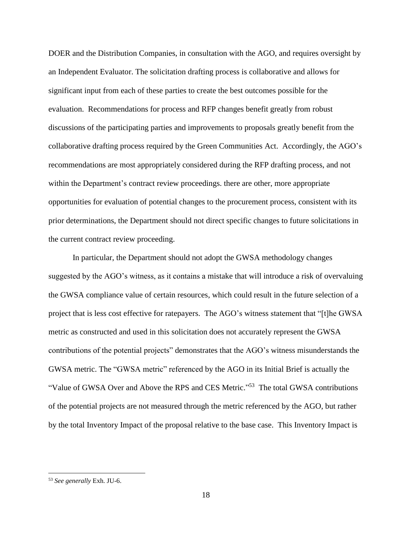DOER and the Distribution Companies, in consultation with the AGO, and requires oversight by an Independent Evaluator. The solicitation drafting process is collaborative and allows for significant input from each of these parties to create the best outcomes possible for the evaluation. Recommendations for process and RFP changes benefit greatly from robust discussions of the participating parties and improvements to proposals greatly benefit from the collaborative drafting process required by the Green Communities Act. Accordingly, the AGO's recommendations are most appropriately considered during the RFP drafting process, and not within the Department's contract review proceedings. there are other, more appropriate opportunities for evaluation of potential changes to the procurement process, consistent with its prior determinations, the Department should not direct specific changes to future solicitations in the current contract review proceeding.

In particular, the Department should not adopt the GWSA methodology changes suggested by the AGO's witness, as it contains a mistake that will introduce a risk of overvaluing the GWSA compliance value of certain resources, which could result in the future selection of a project that is less cost effective for ratepayers. The AGO's witness statement that "[t]he GWSA metric as constructed and used in this solicitation does not accurately represent the GWSA contributions of the potential projects" demonstrates that the AGO's witness misunderstands the GWSA metric. The "GWSA metric" referenced by the AGO in its Initial Brief is actually the "Value of GWSA Over and Above the RPS and CES Metric."<sup>53</sup> The total GWSA contributions of the potential projects are not measured through the metric referenced by the AGO, but rather by the total Inventory Impact of the proposal relative to the base case. This Inventory Impact is

<sup>53</sup> *See generally* Exh. JU-6.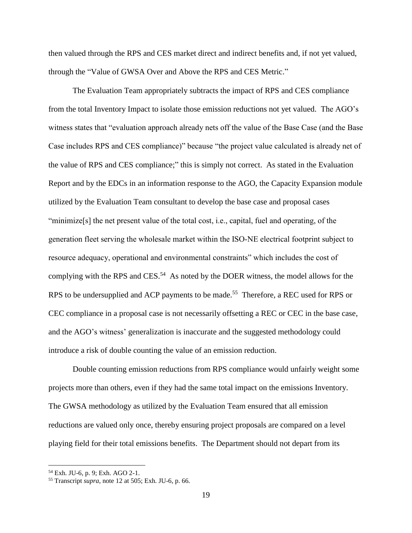then valued through the RPS and CES market direct and indirect benefits and, if not yet valued, through the "Value of GWSA Over and Above the RPS and CES Metric."

The Evaluation Team appropriately subtracts the impact of RPS and CES compliance from the total Inventory Impact to isolate those emission reductions not yet valued. The AGO's witness states that "evaluation approach already nets off the value of the Base Case (and the Base Case includes RPS and CES compliance)" because "the project value calculated is already net of the value of RPS and CES compliance;" this is simply not correct. As stated in the Evaluation Report and by the EDCs in an information response to the AGO, the Capacity Expansion module utilized by the Evaluation Team consultant to develop the base case and proposal cases "minimize[s] the net present value of the total cost, i.e., capital, fuel and operating, of the generation fleet serving the wholesale market within the ISO‐NE electrical footprint subject to resource adequacy, operational and environmental constraints" which includes the cost of complying with the RPS and CES.<sup>54</sup> As noted by the DOER witness, the model allows for the RPS to be undersupplied and ACP payments to be made.<sup>55</sup> Therefore, a REC used for RPS or CEC compliance in a proposal case is not necessarily offsetting a REC or CEC in the base case, and the AGO's witness' generalization is inaccurate and the suggested methodology could introduce a risk of double counting the value of an emission reduction.

Double counting emission reductions from RPS compliance would unfairly weight some projects more than others, even if they had the same total impact on the emissions Inventory. The GWSA methodology as utilized by the Evaluation Team ensured that all emission reductions are valued only once, thereby ensuring project proposals are compared on a level playing field for their total emissions benefits. The Department should not depart from its

<sup>54</sup> Exh. JU-6, p. 9; Exh. AGO 2-1.

<sup>55</sup> Transcript *supra*, note 12 at 505; Exh. JU-6, p. 66.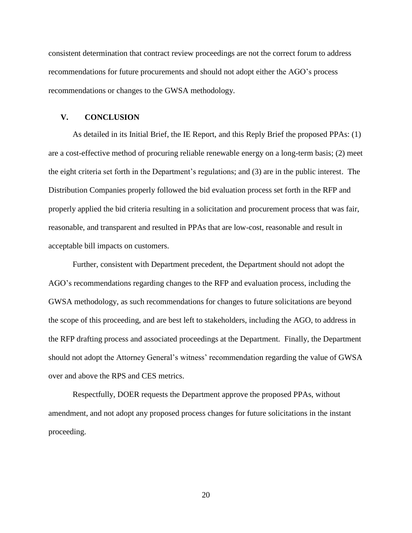consistent determination that contract review proceedings are not the correct forum to address recommendations for future procurements and should not adopt either the AGO's process recommendations or changes to the GWSA methodology.

#### **V. CONCLUSION**

As detailed in its Initial Brief, the IE Report, and this Reply Brief the proposed PPAs: (1) are a cost-effective method of procuring reliable renewable energy on a long-term basis; (2) meet the eight criteria set forth in the Department's regulations; and (3) are in the public interest. The Distribution Companies properly followed the bid evaluation process set forth in the RFP and properly applied the bid criteria resulting in a solicitation and procurement process that was fair, reasonable, and transparent and resulted in PPAs that are low-cost, reasonable and result in acceptable bill impacts on customers.

Further, consistent with Department precedent, the Department should not adopt the AGO's recommendations regarding changes to the RFP and evaluation process, including the GWSA methodology, as such recommendations for changes to future solicitations are beyond the scope of this proceeding, and are best left to stakeholders, including the AGO, to address in the RFP drafting process and associated proceedings at the Department. Finally, the Department should not adopt the Attorney General's witness' recommendation regarding the value of GWSA over and above the RPS and CES metrics.

Respectfully, DOER requests the Department approve the proposed PPAs, without amendment, and not adopt any proposed process changes for future solicitations in the instant proceeding.

20